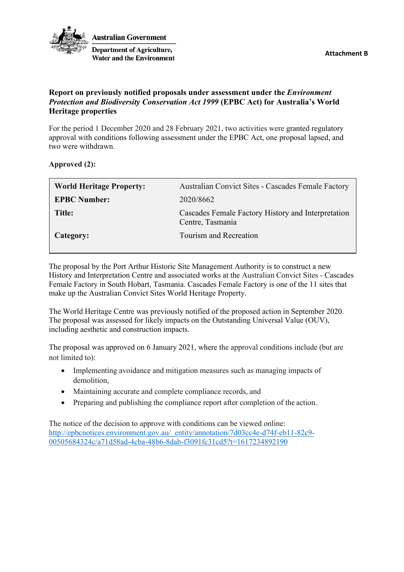

**Australian Government Department of Agriculture, Water and the Environment** 

## **Report on previously notified proposals under assessment under the** *Environment Protection and Biodiversity Conservation Act 1999* **(EPBC Act) for Australia's World Heritage properties**

For the period 1 December 2020 and 28 February 2021, two activities were granted regulatory approval with conditions following assessment under the EPBC Act, one proposal lapsed, and two were withdrawn.

**Approved (2):**

| <b>World Heritage Property:</b> | Australian Convict Sites - Cascades Female Factory                     |
|---------------------------------|------------------------------------------------------------------------|
| <b>EPBC Number:</b>             | 2020/8662                                                              |
| Title:                          | Cascades Female Factory History and Interpretation<br>Centre, Tasmania |
| Category:                       | Tourism and Recreation                                                 |

The proposal by the Port Arthur Historic Site Management Authority is to construct a new History and Interpretation Centre and associated works at the Australian Convict Sites - Cascades Female Factory in South Hobart, Tasmania. Cascades Female Factory is one of the 11 sites that make up the Australian Convict Sites World Heritage Property.

The World Heritage Centre was previously notified of the proposed action in September 2020. The proposal was assessed for likely impacts on the Outstanding Universal Value (OUV), including aesthetic and construction impacts.

The proposal was approved on 6 January 2021, where the approval conditions include (but are not limited to):

- Implementing avoidance and mitigation measures such as managing impacts of demolition,
- Maintaining accurate and complete compliance records, and
- Preparing and publishing the compliance report after completion of the action.

The notice of the decision to approve with conditions can be viewed online: [http://epbcnotices.environment.gov.au/\\_entity/annotation/7d03cc4e-d74f-eb11-82c9-](http://epbcnotices.environment.gov.au/_entity/annotation/7d03cc4e-d74f-eb11-82c9-00505684324c/a71d58ad-4cba-48b6-8dab-f3091fc31cd5?t=1617234892190) [00505684324c/a71d58ad-4cba-48b6-8dab-f3091fc31cd5?t=1617234892190](http://epbcnotices.environment.gov.au/_entity/annotation/7d03cc4e-d74f-eb11-82c9-00505684324c/a71d58ad-4cba-48b6-8dab-f3091fc31cd5?t=1617234892190)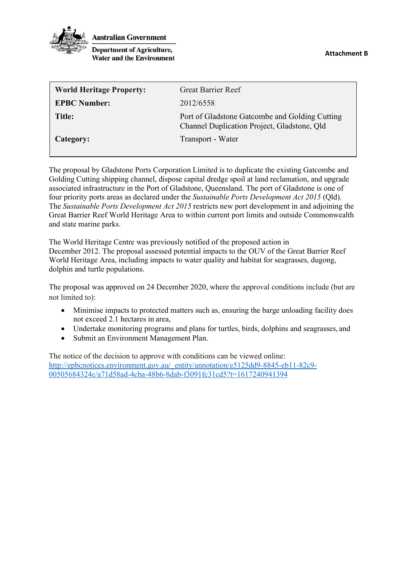

**Australian Government** 

**Department of Agriculture, Water and the Environment** 

| <b>World Heritage Property:</b> | <b>Great Barrier Reef</b>                                                                     |
|---------------------------------|-----------------------------------------------------------------------------------------------|
| <b>EPBC Number:</b>             | 2012/6558                                                                                     |
| Title:                          | Port of Gladstone Gatcombe and Golding Cutting<br>Channel Duplication Project, Gladstone, Qld |
| Category:                       | Transport - Water                                                                             |

The proposal by Gladstone Ports Corporation Limited is to duplicate the existing Gatcombe and Golding Cutting shipping channel, dispose capital dredge spoil at land reclamation, and upgrade associated infrastructure in the Port of Gladstone, Queensland. The port of Gladstone is one of four priority ports areas as declared under the *Sustainable Ports Development Act 2015* (Qld). The *Sustainable Ports Development Act 2015* restricts new port development in and adjoining the Great Barrier Reef World Heritage Area to within current port limits and outside Commonwealth and state marine parks.

The World Heritage Centre was previously notified of the proposed action in December 2012. The proposal assessed potential impacts to the OUV of the Great Barrier Reef World Heritage Area, including impacts to water quality and habitat for seagrasses, dugong, dolphin and turtle populations.

The proposal was approved on 24 December 2020, where the approval conditions include (but are not limited to):

- Minimise impacts to protected matters such as, ensuring the barge unloading facility does not exceed 2.1 hectares in area,
- Undertake monitoring programs and plans for turtles, birds, dolphins and seagrasses, and
- Submit an Environment Management Plan.

The notice of the decision to approve with conditions can be viewed online: [http://epbcnotices.environment.gov.au/\\_entity/annotation/e5125dd9-8845-eb11-82c9-](http://epbcnotices.environment.gov.au/_entity/annotation/e5125dd9-8845-eb11-82c9-00505684324c/a71d58ad-4cba-48b6-8dab-f3091fc31cd5?t=1617240941394) [00505684324c/a71d58ad-4cba-48b6-8dab-f3091fc31cd5?t=1617240941394](http://epbcnotices.environment.gov.au/_entity/annotation/e5125dd9-8845-eb11-82c9-00505684324c/a71d58ad-4cba-48b6-8dab-f3091fc31cd5?t=1617240941394)